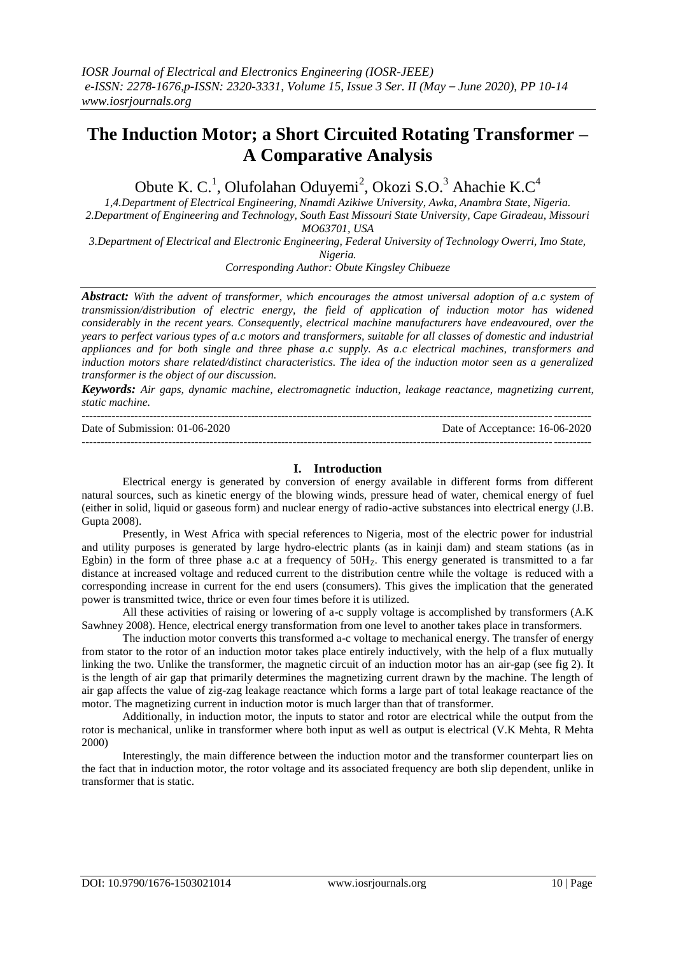# **The Induction Motor; a Short Circuited Rotating Transformer – A Comparative Analysis**

Obute K. C.<sup>1</sup>, Olufolahan Oduyemi<sup>2</sup>, Okozi S.O.<sup>3</sup> Ahachie K.C<sup>4</sup>

*1,4.Department of Electrical Engineering, Nnamdi Azikiwe University, Awka, Anambra State, Nigeria. 2.Department of Engineering and Technology, South East Missouri State University, Cape Giradeau, Missouri MO63701, USA*

*3.Department of Electrical and Electronic Engineering, Federal University of Technology Owerri, Imo State, Nigeria.*

*Corresponding Author: Obute Kingsley Chibueze*

*Abstract: With the advent of transformer, which encourages the atmost universal adoption of a.c system of transmission/distribution of electric energy, the field of application of induction motor has widened considerably in the recent years. Consequently, electrical machine manufacturers have endeavoured, over the years to perfect various types of a.c motors and transformers, suitable for all classes of domestic and industrial appliances and for both single and three phase a.c supply. As a.c electrical machines, transformers and induction motors share related/distinct characteristics. The idea of the induction motor seen as a generalized transformer is the object of our discussion.*

*Keywords: Air gaps, dynamic machine, electromagnetic induction, leakage reactance, magnetizing current, static machine.*

| Date of Submission: 01-06-2020 | Date of Acceptance: 16-06-2020 |
|--------------------------------|--------------------------------|
|                                |                                |

### **I. Introduction**

Electrical energy is generated by conversion of energy available in different forms from different natural sources, such as kinetic energy of the blowing winds, pressure head of water, chemical energy of fuel (either in solid, liquid or gaseous form) and nuclear energy of radio-active substances into electrical energy (J.B. Gupta 2008).

Presently, in West Africa with special references to Nigeria, most of the electric power for industrial and utility purposes is generated by large hydro-electric plants (as in kainji dam) and steam stations (as in Egbin) in the form of three phase a.c at a frequency of  $50H<sub>Z</sub>$ . This energy generated is transmitted to a far distance at increased voltage and reduced current to the distribution centre while the voltage is reduced with a corresponding increase in current for the end users (consumers). This gives the implication that the generated power is transmitted twice, thrice or even four times before it is utilized.

All these activities of raising or lowering of a-c supply voltage is accomplished by transformers (A.K Sawhney 2008). Hence, electrical energy transformation from one level to another takes place in transformers.

The induction motor converts this transformed a-c voltage to mechanical energy. The transfer of energy from stator to the rotor of an induction motor takes place entirely inductively, with the help of a flux mutually linking the two. Unlike the transformer, the magnetic circuit of an induction motor has an air-gap (see fig 2). It is the length of air gap that primarily determines the magnetizing current drawn by the machine. The length of air gap affects the value of zig-zag leakage reactance which forms a large part of total leakage reactance of the motor. The magnetizing current in induction motor is much larger than that of transformer.

Additionally, in induction motor, the inputs to stator and rotor are electrical while the output from the rotor is mechanical, unlike in transformer where both input as well as output is electrical (V.K Mehta, R Mehta 2000)

Interestingly, the main difference between the induction motor and the transformer counterpart lies on the fact that in induction motor, the rotor voltage and its associated frequency are both slip dependent, unlike in transformer that is static.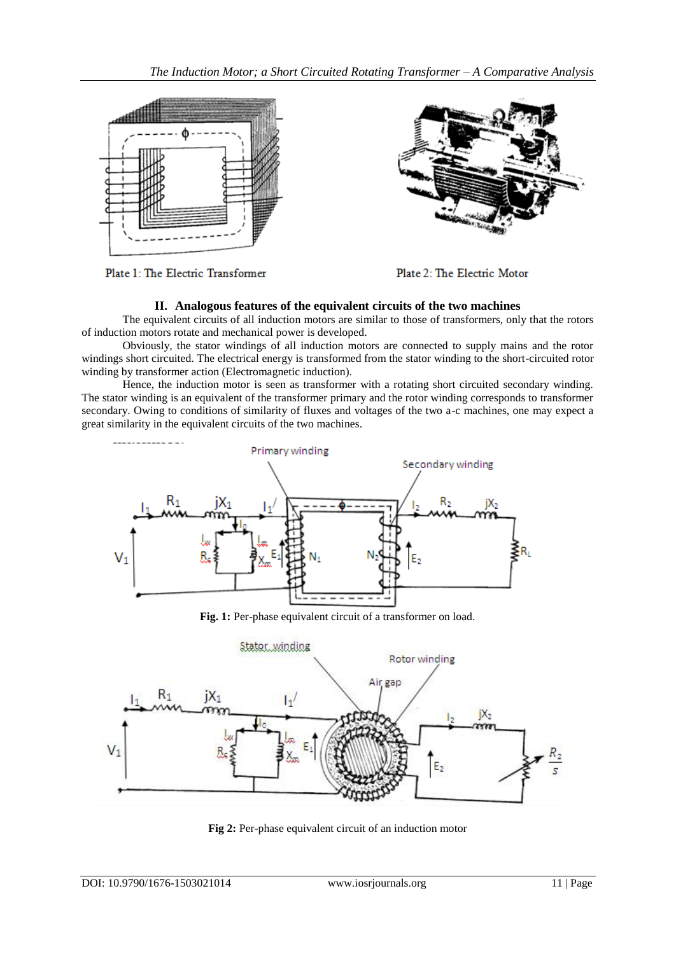

Plate 1: The Electric Transformer

Plate 2: The Electric Motor

# **II. Analogous features of the equivalent circuits of the two machines**

The equivalent circuits of all induction motors are similar to those of transformers, only that the rotors of induction motors rotate and mechanical power is developed.

Obviously, the stator windings of all induction motors are connected to supply mains and the rotor windings short circuited. The electrical energy is transformed from the stator winding to the short-circuited rotor winding by transformer action (Electromagnetic induction).

Hence, the induction motor is seen as transformer with a rotating short circuited secondary winding. The stator winding is an equivalent of the transformer primary and the rotor winding corresponds to transformer secondary. Owing to conditions of similarity of fluxes and voltages of the two a-c machines, one may expect a great similarity in the equivalent circuits of the two machines.



**Fig. 1:** Per-phase equivalent circuit of a transformer on load.



**Fig 2:** Per-phase equivalent circuit of an induction motor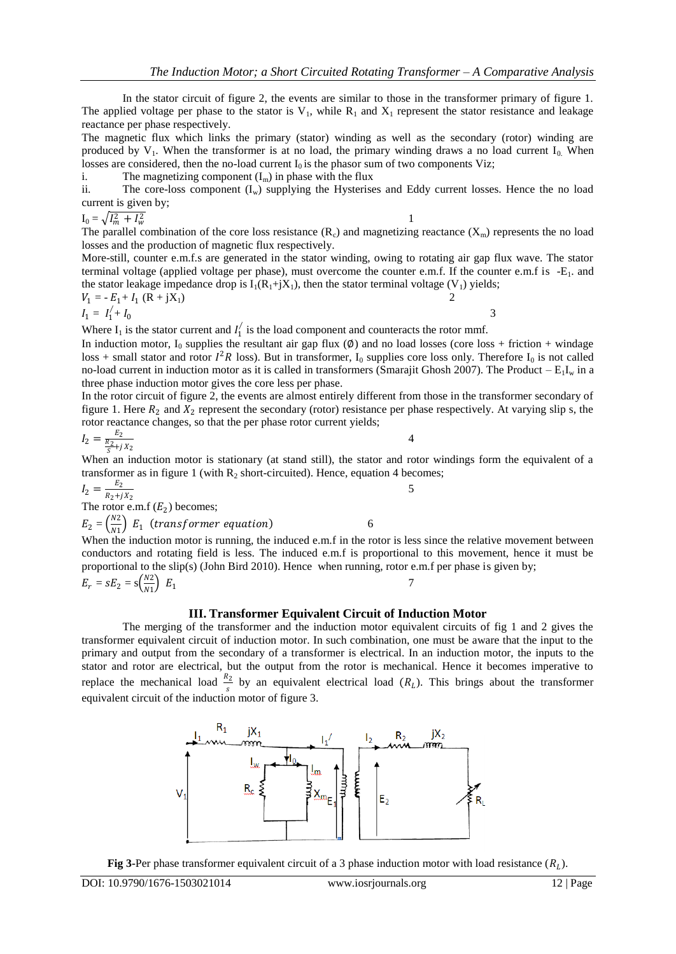In the stator circuit of figure 2, the events are similar to those in the transformer primary of figure 1. The applied voltage per phase to the stator is  $V_1$ , while  $R_1$  and  $X_1$  represent the stator resistance and leakage reactance per phase respectively.

The magnetic flux which links the primary (stator) winding as well as the secondary (rotor) winding are produced by  $V_1$ . When the transformer is at no load, the primary winding draws a no load current  $I_0$ . When losses are considered, then the no-load current  $I_0$  is the phasor sum of two components Viz;

i. The magnetizing component  $(I_m)$  in phase with the flux

ii. The core-loss component  $(I_w)$  supplying the Hysterises and Eddy current losses. Hence the no load current is given by;

$$
I_0 = \sqrt{I_m^2 + I_w^2}
$$

4

5

The parallel combination of the core loss resistance  $(R_c)$  and magnetizing reactance  $(X_m)$  represents the no load losses and the production of magnetic flux respectively.

More-still, counter e.m.f.s are generated in the stator winding, owing to rotating air gap flux wave. The stator terminal voltage (applied voltage per phase), must overcome the counter e.m.f. If the counter e.m.f is -E1. and the stator leakage impedance drop is  $I_1(R_1+iX_1)$ , then the stator terminal voltage (V<sub>1</sub>) yields;

$$
V_1 = -E_1 + I_1 (R + jX_1)
$$

$$
I_1 = I_1' + I_0 \tag{3}
$$

Where  $I_1$  is the stator current and  $I_1$  is the load component and counteracts the rotor mmf.

In induction motor, I<sub>0</sub> supplies the resultant air gap flux  $(\emptyset)$  and no load losses (core loss + friction + windage loss + small stator and rotor  $I^2R$  loss). But in transformer,  $I_0$  supplies core loss only. Therefore  $I_0$  is not called no-load current in induction motor as it is called in transformers (Smarajit Ghosh 2007). The Product –  $E_1I_w$  in a three phase induction motor gives the core less per phase.

In the rotor circuit of figure 2, the events are almost entirely different from those in the transformer secondary of figure 1. Here  $R_2$  and  $X_2$  represent the secondary (rotor) resistance per phase respectively. At varying slip s, the rotor reactance changes, so that the per phase rotor current yields;

$$
I_2 = \frac{E_2}{\frac{R_2}{S} + jX_2}
$$

When an induction motor is stationary (at stand still), the stator and rotor windings form the equivalent of a transformer as in figure 1 (with  $R_2$  short-circuited). Hence, equation 4 becomes;

$$
I_2 = \frac{E_2}{R_2 + jX_2}
$$

The rotor e.m.f  $(E_2)$  becomes;

$$
E_2 = \left(\frac{N2}{N1}\right) E_1 \text{ (transfer term, equation)} \tag{6}
$$

When the induction motor is running, the induced e.m.f in the rotor is less since the relative movement between conductors and rotating field is less. The induced e.m.f is proportional to this movement, hence it must be proportional to the slip(s) (John Bird 2010). Hence when running, rotor e.m.f per phase is given by;

$$
E_r = sE_2 = s\left(\frac{N2}{N1}\right) E_1
$$

### **III. Transformer Equivalent Circuit of Induction Motor**

The merging of the transformer and the induction motor equivalent circuits of fig 1 and 2 gives the transformer equivalent circuit of induction motor. In such combination, one must be aware that the input to the primary and output from the secondary of a transformer is electrical. In an induction motor, the inputs to the stator and rotor are electrical, but the output from the rotor is mechanical. Hence it becomes imperative to replace the mechanical load  $\frac{R_2}{s}$  by an equivalent electrical load  $(R_L)$ . This brings about the transformer equivalent circuit of the induction motor of figure 3.



**Fig 3-Per phase transformer equivalent circuit of a 3 phase induction motor with load resistance**  $(R_L)$ **.**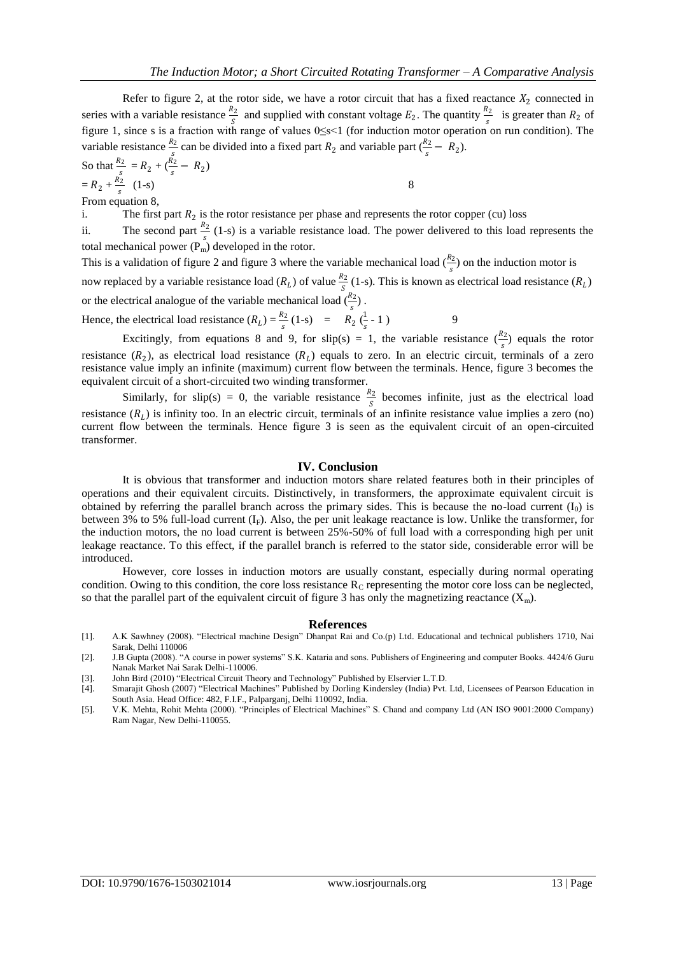Refer to figure 2, at the rotor side, we have a rotor circuit that has a fixed reactance  $X_2$  connected in series with a variable resistance  $\frac{R_2}{S}$  and supplied with constant voltage  $E_2$ . The quantity  $\frac{R_2}{S}$  is greater than  $R_2$  of figure 1, since s is a fraction with range of values 0≤s<1 (for induction motor operation on run condition). The variable resistance  $\frac{R_2}{s}$  can be divided into a fixed part  $R_2$  and variable part  $(\frac{R_2}{s} - R_2)$ .

So that 
$$
\frac{R_2}{s} = R_2 + (\frac{R_2}{s} - R_2)
$$
  
=  $R_2 + \frac{R_2}{s}$  (1-s)

From equation 8,

i. The first part  $R_2$  is the rotor resistance per phase and represents the rotor copper (cu) loss

ii. The second part  $\frac{R_2}{s}$  (1-s) is a variable resistance load. The power delivered to this load represents the total mechanical power  $(P_m)$  developed in the rotor.

This is a validation of figure 2 and figure 3 where the variable mechanical load  $(\frac{R_2}{s})$  on the induction motor is now replaced by a variable resistance load ( $R_L$ ) of value  $\frac{R_2}{S}$  (1-s). This is known as electrical load resistance ( $R_L$ ) or the electrical analogue of the variable mechanical load  $\binom{R_2}{k}$ . S

Hence, the electrical load resistance  $(R_L) = \frac{R_2}{s} (1-s)$  =  $R_2 (\frac{1}{s})$  $\frac{1}{s}$ -1) 9

Excitingly, from equations 8 and 9, for slip(s) = 1, the variable resistance  $\left(\frac{R_2}{s}\right)$  equals the rotor resistance  $(R_2)$ , as electrical load resistance  $(R_L)$  equals to zero. In an electric circuit, terminals of a zero resistance value imply an infinite (maximum) current flow between the terminals. Hence, figure 3 becomes the equivalent circuit of a short-circuited two winding transformer.

Similarly, for slip(s) = 0, the variable resistance  $\frac{R_2}{S}$  becomes infinite, just as the electrical load resistance  $(R_L)$  is infinity too. In an electric circuit, terminals of an infinite resistance value implies a zero (no) current flow between the terminals. Hence figure 3 is seen as the equivalent circuit of an open-circuited transformer.

#### **IV. Conclusion**

It is obvious that transformer and induction motors share related features both in their principles of operations and their equivalent circuits. Distinctively, in transformers, the approximate equivalent circuit is obtained by referring the parallel branch across the primary sides. This is because the no-load current  $(I_0)$  is between 3% to 5% full-load current  $(I_F)$ . Also, the per unit leakage reactance is low. Unlike the transformer, for the induction motors, the no load current is between 25%-50% of full load with a corresponding high per unit leakage reactance. To this effect, if the parallel branch is referred to the stator side, considerable error will be introduced.

However, core losses in induction motors are usually constant, especially during normal operating condition. Owing to this condition, the core loss resistance  $R<sub>C</sub>$  representing the motor core loss can be neglected, so that the parallel part of the equivalent circuit of figure 3 has only the magnetizing reactance  $(X_m)$ .

#### **References**

- [1]. A.K Sawhney (2008). "Electrical machine Design" Dhanpat Rai and Co.(p) Ltd. Educational and technical publishers 1710, Nai Sarak, Delhi 110006
- [2]. J.B Gupta (2008). "A course in power systems" S.K. Kataria and sons. Publishers of Engineering and computer Books. 4424/6 Guru Nanak Market Nai Sarak Delhi-110006.
- [3]. John Bird (2010) "Electrical Circuit Theory and Technology" Published by Elservier L.T.D.
- [4]. Smarajit Ghosh (2007) "Electrical Machines" Published by Dorling Kindersley (India) Pvt. Ltd, Licensees of Pearson Education in South Asia. Head Office: 482, F.I.F., Palparganj, Delhi 110092, India.
- [5]. V.K. Mehta, Rohit Mehta (2000). "Principles of Electrical Machines" S. Chand and company Ltd (AN ISO 9001:2000 Company) Ram Nagar, New Delhi-110055.